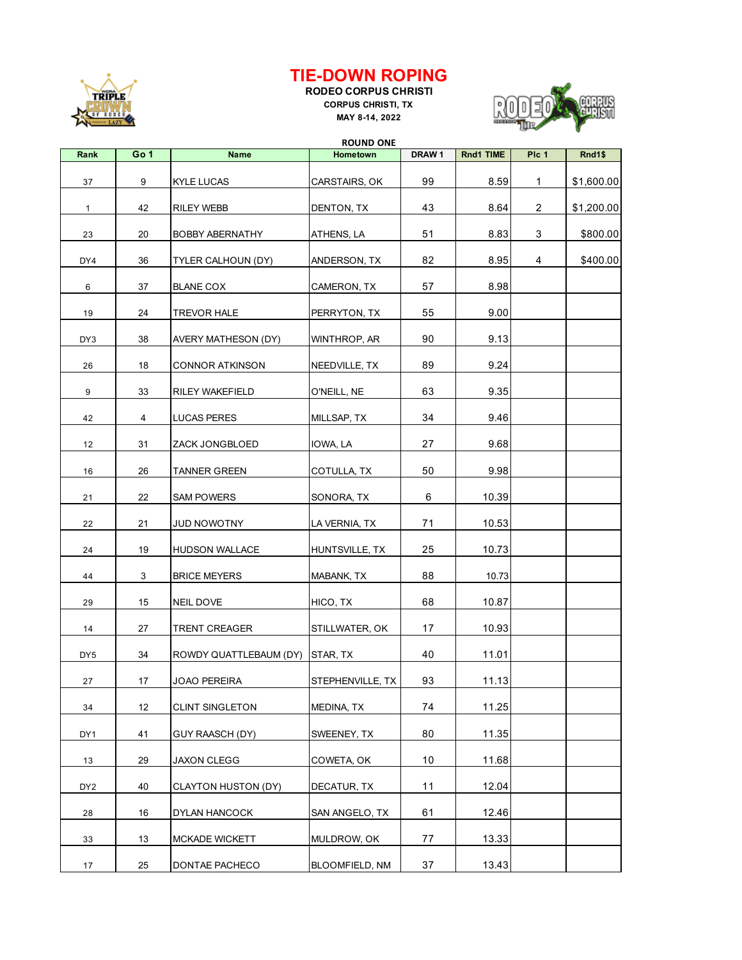

## **TIE-DOWN ROPING**

**RODEO CORPUS CHRISTI CORPUS CHRISTI, TX MAY 8-14, 2022**



| Go 1<br>Plc 1<br>Rank<br><b>Name</b><br>DRAW <sub>1</sub><br>Rnd1 TIME<br>Hometown<br>99<br>9<br>8.59<br>$\mathbf{1}$<br>37<br>KYLE LUCAS<br>CARSTAIRS, OK<br>43<br>42<br>8.64<br>2<br>DENTON, TX<br>$\mathbf{1}$<br>RILEY WEBB<br>51<br>3<br>8.83<br>23<br>20<br><b>BOBBY ABERNATHY</b><br>ATHENS, LA<br>82<br>8.95<br>4<br>DY4<br>36<br>ANDERSON, TX<br>TYLER CALHOUN (DY) | Rnd1\$<br>\$1,600.00   |
|------------------------------------------------------------------------------------------------------------------------------------------------------------------------------------------------------------------------------------------------------------------------------------------------------------------------------------------------------------------------------|------------------------|
|                                                                                                                                                                                                                                                                                                                                                                              |                        |
|                                                                                                                                                                                                                                                                                                                                                                              | \$1,200.00<br>\$800.00 |
|                                                                                                                                                                                                                                                                                                                                                                              |                        |
|                                                                                                                                                                                                                                                                                                                                                                              |                        |
|                                                                                                                                                                                                                                                                                                                                                                              | \$400.00               |
| 57<br>8.98<br>6<br>37<br><b>BLANE COX</b><br>CAMERON, TX                                                                                                                                                                                                                                                                                                                     |                        |
| 24<br><b>TREVOR HALE</b><br>PERRYTON, TX<br>55<br>9.00<br>19                                                                                                                                                                                                                                                                                                                 |                        |
| 90<br>9.13<br>38<br>DY3<br>AVERY MATHESON (DY)<br>WINTHROP, AR                                                                                                                                                                                                                                                                                                               |                        |
| 89<br>9.24<br>18<br>26<br>CONNOR ATKINSON<br>NEEDVILLE, TX                                                                                                                                                                                                                                                                                                                   |                        |
| 63<br>9.35<br>9<br>33<br>RILEY WAKEFIELD<br>O'NEILL, NE                                                                                                                                                                                                                                                                                                                      |                        |
| 34<br>9.46<br>42<br>4<br><b>LUCAS PERES</b><br>MILLSAP, TX                                                                                                                                                                                                                                                                                                                   |                        |
| 27<br>9.68<br>31<br>12<br>ZACK JONGBLOED<br>IOWA, LA                                                                                                                                                                                                                                                                                                                         |                        |
| 50<br>9.98<br>16<br>26<br><b>TANNER GREEN</b><br>COTULLA, TX                                                                                                                                                                                                                                                                                                                 |                        |
| 6<br>10.39<br>22<br>21<br>SAM POWERS<br>SONORA, TX                                                                                                                                                                                                                                                                                                                           |                        |
| 71<br>10.53<br>22<br>21<br><b>JUD NOWOTNY</b><br>LA VERNIA, TX                                                                                                                                                                                                                                                                                                               |                        |
| 25<br>19<br>10.73<br>24<br><b>HUDSON WALLACE</b><br>HUNTSVILLE, TX                                                                                                                                                                                                                                                                                                           |                        |
| 88<br>3<br>44<br><b>BRICE MEYERS</b><br>MABANK, TX<br>10.73                                                                                                                                                                                                                                                                                                                  |                        |
| 68<br>15<br>10.87<br>29<br>NEIL DOVE<br>HICO, TX                                                                                                                                                                                                                                                                                                                             |                        |
| 17<br>10.93<br>14<br>27<br><b>TRENT CREAGER</b><br>STILLWATER, OK                                                                                                                                                                                                                                                                                                            |                        |
| 40<br>11.01<br>DY <sub>5</sub><br>34<br>ROWDY QUATTLEBAUM (DY)<br>STAR, TX                                                                                                                                                                                                                                                                                                   |                        |
| 93<br>11.13<br>27<br>17<br>JOAO PEREIRA<br>STEPHENVILLE, TX                                                                                                                                                                                                                                                                                                                  |                        |
| 12<br>74<br>11.25<br>34<br><b>CLINT SINGLETON</b><br>MEDINA, TX                                                                                                                                                                                                                                                                                                              |                        |
| 80<br>11.35<br>DY1<br>41<br>GUY RAASCH (DY)<br>SWEENEY, TX                                                                                                                                                                                                                                                                                                                   |                        |
| 10<br>11.68<br>29<br><b>JAXON CLEGG</b><br>COWETA, OK<br>13                                                                                                                                                                                                                                                                                                                  |                        |
| 11<br>40<br>12.04<br>DY <sub>2</sub><br>DECATUR, TX<br>CLAYTON HUSTON (DY)                                                                                                                                                                                                                                                                                                   |                        |
| 61<br>16<br>12.46<br>28<br>DYLAN HANCOCK<br>SAN ANGELO, TX                                                                                                                                                                                                                                                                                                                   |                        |
| 13.33<br>77<br>33<br>13<br><b>MCKADE WICKETT</b><br>MULDROW, OK                                                                                                                                                                                                                                                                                                              |                        |
| 37<br>13.43<br>BLOOMFIELD, NM<br>17<br>25<br>DONTAE PACHECO                                                                                                                                                                                                                                                                                                                  |                        |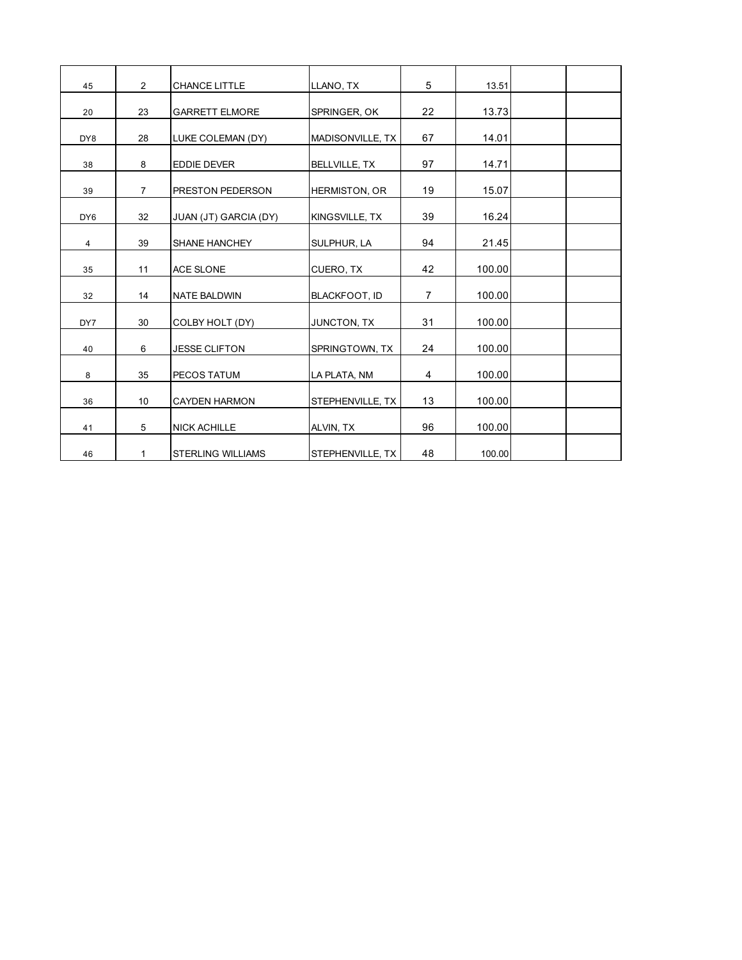| 45              | $\overline{2}$ | <b>CHANCE LITTLE</b>     | LLANO, TX            | 5              | 13.51  |  |
|-----------------|----------------|--------------------------|----------------------|----------------|--------|--|
| 20              | 23             | <b>GARRETT ELMORE</b>    | SPRINGER, OK         | 22             | 13.73  |  |
| DY8             | 28             | LUKE COLEMAN (DY)        | MADISONVILLE, TX     | 67             | 14.01  |  |
| 38              | 8              | <b>EDDIE DEVER</b>       | <b>BELLVILLE, TX</b> | 97             | 14.71  |  |
| 39              | $\overline{7}$ | <b>PRESTON PEDERSON</b>  | <b>HERMISTON, OR</b> | 19             | 15.07  |  |
| DY <sub>6</sub> | 32             | JUAN (JT) GARCIA (DY)    | KINGSVILLE, TX       | 39             | 16.24  |  |
| $\overline{4}$  | 39             | <b>SHANE HANCHEY</b>     | SULPHUR, LA          | 94             | 21.45  |  |
| 35              | 11             | <b>ACE SLONE</b>         | CUERO, TX            | 42             | 100.00 |  |
| 32              | 14             | <b>NATE BALDWIN</b>      | <b>BLACKFOOT, ID</b> | $\overline{7}$ | 100.00 |  |
| DY7             | 30             | COLBY HOLT (DY)          | JUNCTON, TX          | 31             | 100.00 |  |
| 40              | 6              | <b>JESSE CLIFTON</b>     | SPRINGTOWN, TX       | 24             | 100.00 |  |
| 8               | 35             | PECOS TATUM              | LA PLATA, NM         | 4              | 100.00 |  |
| 36              | 10             | <b>CAYDEN HARMON</b>     | STEPHENVILLE, TX     | 13             | 100.00 |  |
| 41              | 5              | <b>NICK ACHILLE</b>      | ALVIN, TX            | 96             | 100.00 |  |
| 46              | 1              | <b>STERLING WILLIAMS</b> | STEPHENVILLE, TX     | 48             | 100.00 |  |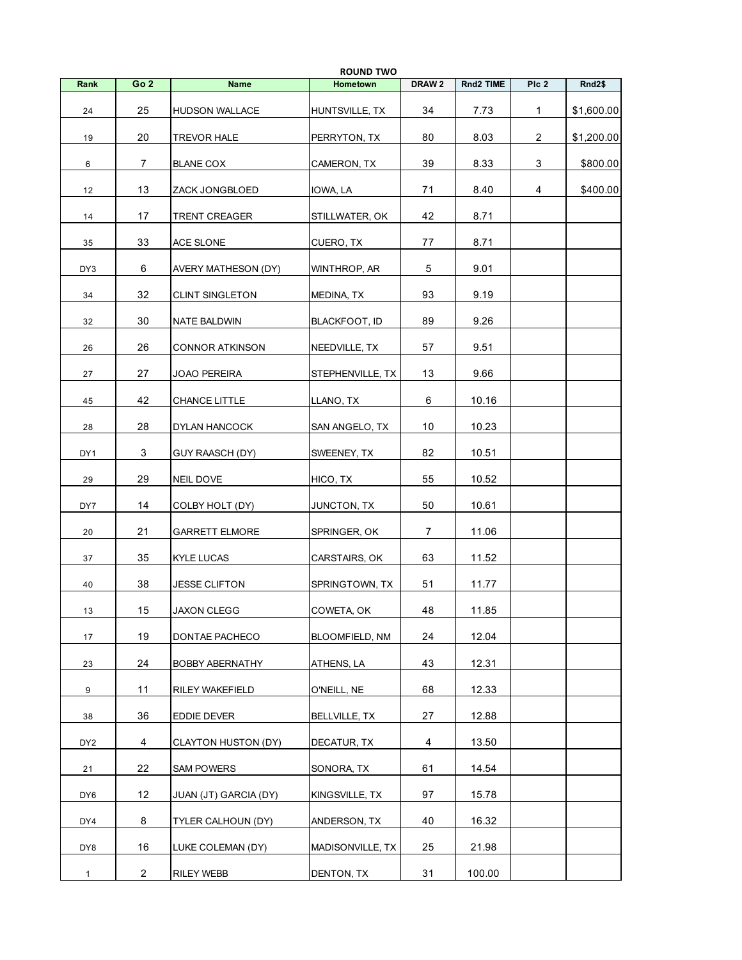|                 |                 |                        | <b>ROUND TWO</b> |                   |           |                |            |
|-----------------|-----------------|------------------------|------------------|-------------------|-----------|----------------|------------|
| Rank            | Go <sub>2</sub> | <b>Name</b>            | Hometown         | DRAW <sub>2</sub> | Rnd2 TIME | Plc 2          | Rnd2\$     |
| 24              | 25              | <b>HUDSON WALLACE</b>  | HUNTSVILLE, TX   | 34                | 7.73      | $\mathbf{1}$   | \$1,600.00 |
| 19              | 20              | TREVOR HALE            | PERRYTON, TX     | 80                | 8.03      | $\overline{2}$ | \$1,200.00 |
| 6               | 7               | <b>BLANE COX</b>       | CAMERON, TX      | 39                | 8.33      | 3              | \$800.00   |
| 12              | 13              | ZACK JONGBLOED         | IOWA, LA         | 71                | 8.40      | 4              | \$400.00   |
| 14              | 17              | TRENT CREAGER          | STILLWATER, OK   | 42                | 8.71      |                |            |
| 35              | 33              | ACE SLONE              | CUERO, TX        | 77                | 8.71      |                |            |
| DY3             | 6               | AVERY MATHESON (DY)    | Winthrop, ar     | 5                 | 9.01      |                |            |
| 34              | 32              | <b>CLINT SINGLETON</b> | MEDINA, TX       | 93                | 9.19      |                |            |
| 32              | 30              | <b>NATE BALDWIN</b>    | BLACKFOOT, ID    | 89                | 9.26      |                |            |
| 26              | 26              | <b>CONNOR ATKINSON</b> | NEEDVILLE, TX    | 57                | 9.51      |                |            |
| 27              | 27              | JOAO PEREIRA           | STEPHENVILLE, TX | 13                | 9.66      |                |            |
| 45              | 42              | <b>CHANCE LITTLE</b>   | LLANO, TX        | 6                 | 10.16     |                |            |
| 28              | 28              | DYLAN HANCOCK          | SAN ANGELO, TX   | 10                | 10.23     |                |            |
| DY1             | 3               | GUY RAASCH (DY)        | SWEENEY, TX      | 82                | 10.51     |                |            |
| 29              | 29              | NEIL DOVE              | HICO, TX         | 55                | 10.52     |                |            |
| DY7             | 14              | COLBY HOLT (DY)        | JUNCTON, TX      | 50                | 10.61     |                |            |
| 20              | 21              | <b>GARRETT ELMORE</b>  | SPRINGER, OK     | $\overline{7}$    | 11.06     |                |            |
| 37              | 35              | KYLE LUCAS             | CARSTAIRS, OK    | 63                | 11.52     |                |            |
| 40              | 38              | JESSE CLIFTON          | SPRINGTOWN, TX   | 51                | 11.77     |                |            |
| 13              | 15              | JAXON CLEGG            | COWETA, OK       | 48                | 11.85     |                |            |
| 17              | 19              | DONTAE PACHECO         | BLOOMFIELD, NM   | 24                | 12.04     |                |            |
| 23              | 24              | <b>BOBBY ABERNATHY</b> | ATHENS, LA       | 43                | 12.31     |                |            |
| 9               | 11              | RILEY WAKEFIELD        | O'NEILL, NE      | 68                | 12.33     |                |            |
| 38              | 36              | EDDIE DEVER            | BELLVILLE, TX    | 27                | 12.88     |                |            |
| DY <sub>2</sub> | 4               | CLAYTON HUSTON (DY)    | DECATUR, TX      | 4                 | 13.50     |                |            |
| 21              | 22              | <b>SAM POWERS</b>      | SONORA, TX       | 61                | 14.54     |                |            |
| DY6             | 12              | JUAN (JT) GARCIA (DY)  | KINGSVILLE, TX   | 97                | 15.78     |                |            |
| DY4             | 8               | TYLER CALHOUN (DY)     | ANDERSON, TX     | 40                | 16.32     |                |            |
| DY8             | 16              | LUKE COLEMAN (DY)      | MADISONVILLE, TX | 25                | 21.98     |                |            |
| $\mathbf{1}$    | $\overline{2}$  | RILEY WEBB             | DENTON, TX       | 31                | 100.00    |                |            |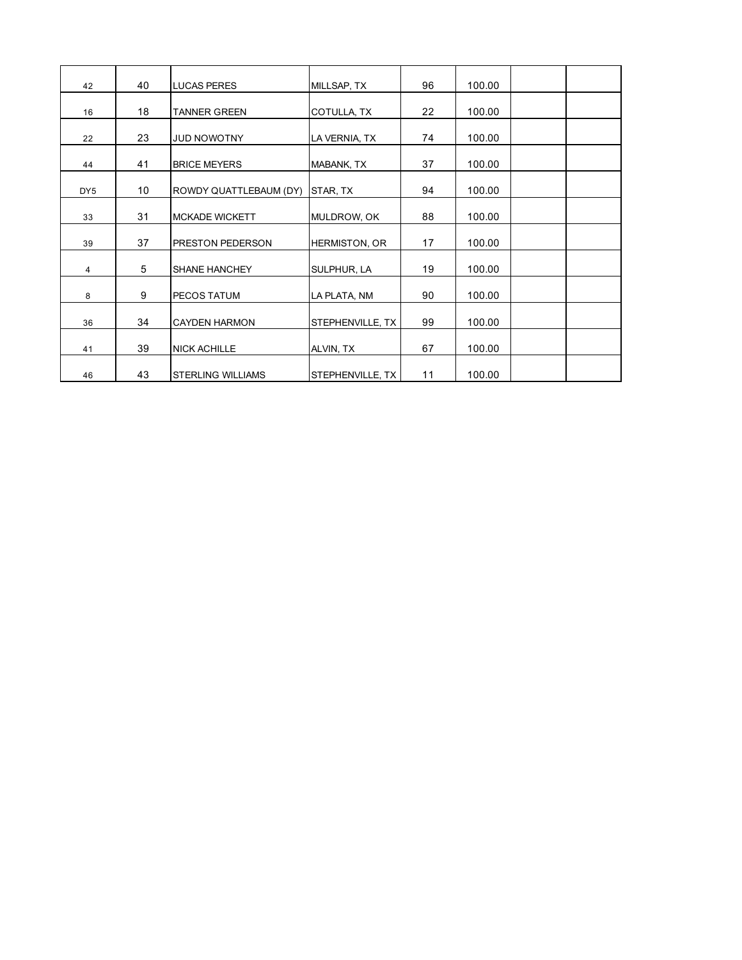| 42              | 40 | <b>LUCAS PERES</b>       | MILLSAP, TX          | 96 | 100.00 |  |
|-----------------|----|--------------------------|----------------------|----|--------|--|
| 16              | 18 | <b>TANNER GREEN</b>      | COTULLA, TX          | 22 | 100.00 |  |
| 22              | 23 | <b>JUD NOWOTNY</b>       | LA VERNIA, TX        | 74 | 100.00 |  |
| 44              | 41 | <b>BRICE MEYERS</b>      | MABANK, TX           | 37 | 100.00 |  |
| DY <sub>5</sub> | 10 | ROWDY QUATTLEBAUM (DY)   | STAR, TX             | 94 | 100.00 |  |
| 33              | 31 | <b>MCKADE WICKETT</b>    | MULDROW, OK          | 88 | 100.00 |  |
| 39              | 37 | <b>PRESTON PEDERSON</b>  | <b>HERMISTON, OR</b> | 17 | 100.00 |  |
|                 | 5  | SHANE HANCHEY            |                      | 19 | 100.00 |  |
| 4               | 9  | PECOS TATUM              | SULPHUR, LA          | 90 | 100.00 |  |
| 8               | 34 |                          | LA PLATA, NM         | 99 | 100.00 |  |
| 36              |    | <b>CAYDEN HARMON</b>     | STEPHENVILLE, TX     |    |        |  |
| 41              | 39 | <b>NICK ACHILLE</b>      | ALVIN, TX            | 67 | 100.00 |  |
| 46              | 43 | <b>STERLING WILLIAMS</b> | STEPHENVILLE, TX     | 11 | 100.00 |  |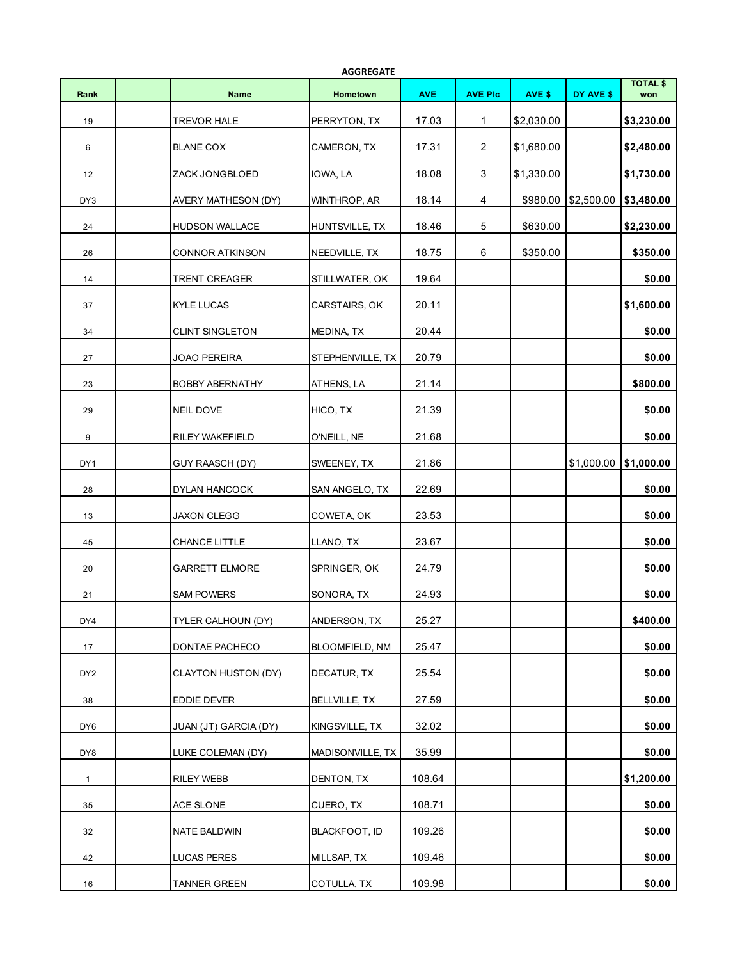| <b>AGGREGATE</b> |  |                        |                      |            |                |            |                         |                        |
|------------------|--|------------------------|----------------------|------------|----------------|------------|-------------------------|------------------------|
| Rank             |  | <b>Name</b>            | Hometown             | <b>AVE</b> | <b>AVE PIc</b> | AVE \$     | DY AVE \$               | <b>TOTAL \$</b><br>won |
| 19               |  | <b>TREVOR HALE</b>     | PERRYTON, TX         | 17.03      | 1              | \$2,030.00 |                         | \$3,230.00             |
| 6                |  | <b>BLANE COX</b>       | CAMERON, TX          | 17.31      | $\overline{2}$ | \$1,680.00 |                         | \$2,480.00             |
| 12               |  | ZACK JONGBLOED         | IOWA, LA             | 18.08      | 3              | \$1,330.00 |                         | \$1,730.00             |
| DY3              |  | AVERY MATHESON (DY)    | WINTHROP, AR         | 18.14      | 4              | \$980.00   | \$2,500.00              | \$3,480.00             |
| 24               |  | <b>HUDSON WALLACE</b>  | HUNTSVILLE, TX       | 18.46      | 5              | \$630.00   |                         | \$2,230.00             |
| 26               |  | <b>CONNOR ATKINSON</b> | NEEDVILLE, TX        | 18.75      | 6              | \$350.00   |                         | \$350.00               |
| 14               |  | <b>TRENT CREAGER</b>   | STILLWATER, OK       | 19.64      |                |            |                         | \$0.00                 |
| 37               |  | <b>KYLE LUCAS</b>      | CARSTAIRS, OK        | 20.11      |                |            |                         | \$1,600.00             |
| 34               |  | <b>CLINT SINGLETON</b> | MEDINA, TX           | 20.44      |                |            |                         | \$0.00                 |
| 27               |  | <b>JOAO PEREIRA</b>    | STEPHENVILLE, TX     | 20.79      |                |            |                         | \$0.00                 |
| 23               |  | <b>BOBBY ABERNATHY</b> | ATHENS, LA           | 21.14      |                |            |                         | \$800.00               |
| 29               |  | NEIL DOVE              | HICO, TX             | 21.39      |                |            |                         | \$0.00                 |
| 9                |  | RILEY WAKEFIELD        | O'NEILL, NE          | 21.68      |                |            |                         | \$0.00                 |
| DY1              |  | GUY RAASCH (DY)        | SWEENEY, TX          | 21.86      |                |            | $$1,000.00$  \$1,000.00 |                        |
| 28               |  | DYLAN HANCOCK          | SAN ANGELO, TX       | 22.69      |                |            |                         | \$0.00                 |
| 13               |  | <b>JAXON CLEGG</b>     | COWETA, OK           | 23.53      |                |            |                         | \$0.00                 |
| 45               |  | <b>CHANCE LITTLE</b>   | LLANO, TX            | 23.67      |                |            |                         | \$0.00                 |
| 20               |  | <b>GARRETT ELMORE</b>  | SPRINGER, OK         | 24.79      |                |            |                         | \$0.00                 |
| 21               |  | <b>SAM POWERS</b>      | SONORA, TX           | 24.93      |                |            |                         | \$0.00                 |
| DY4              |  | TYLER CALHOUN (DY)     | ANDERSON, TX         | 25.27      |                |            |                         | \$400.00               |
| 17               |  | DONTAE PACHECO         | BLOOMFIELD, NM       | 25.47      |                |            |                         | \$0.00                 |
| DY <sub>2</sub>  |  | CLAYTON HUSTON (DY)    | DECATUR, TX          | 25.54      |                |            |                         | \$0.00                 |
| 38               |  | EDDIE DEVER            | <b>BELLVILLE, TX</b> | 27.59      |                |            |                         | \$0.00                 |
| DY6              |  | JUAN (JT) GARCIA (DY)  | KINGSVILLE, TX       | 32.02      |                |            |                         | \$0.00                 |
| DY8              |  | LUKE COLEMAN (DY)      | MADISONVILLE, TX     | 35.99      |                |            |                         | \$0.00                 |
| $\mathbf{1}$     |  | <b>RILEY WEBB</b>      | DENTON, TX           | 108.64     |                |            |                         | \$1,200.00             |
| 35               |  | ACE SLONE              | CUERO, TX            | 108.71     |                |            |                         | \$0.00                 |
| 32               |  | NATE BALDWIN           | BLACKFOOT, ID        | 109.26     |                |            |                         | \$0.00                 |
| 42               |  | <b>LUCAS PERES</b>     | MILLSAP, TX          | 109.46     |                |            |                         | \$0.00                 |
| 16               |  | <b>TANNER GREEN</b>    | COTULLA, TX          | 109.98     |                |            |                         | \$0.00                 |